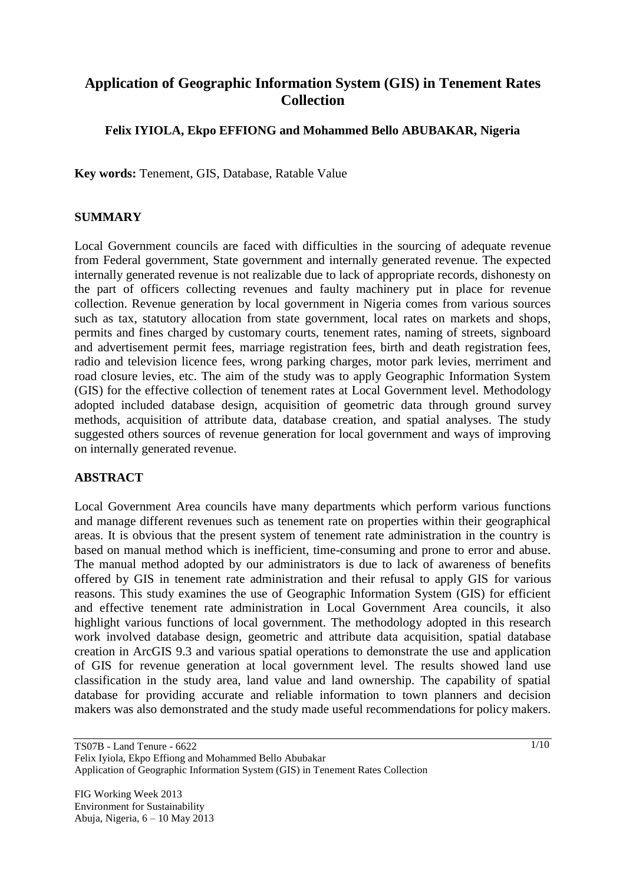# **Application of Geographic Information System (GIS) in Tenement Rates Collection**

# **Felix IYIOLA, Ekpo EFFIONG and Mohammed Bello ABUBAKAR, Nigeria**

**Key words:** Tenement, GIS, Database, Ratable Value

## **SUMMARY**

Local Government councils are faced with difficulties in the sourcing of adequate revenue from Federal government, State government and internally generated revenue. The expected internally generated revenue is not realizable due to lack of appropriate records, dishonesty on the part of officers collecting revenues and faulty machinery put in place for revenue collection. Revenue generation by local government in Nigeria comes from various sources such as tax, statutory allocation from state government, local rates on markets and shops, permits and fines charged by customary courts, tenement rates, naming of streets, signboard and advertisement permit fees, marriage registration fees, birth and death registration fees, radio and television licence fees, wrong parking charges, motor park levies, merriment and road closure levies, etc. The aim of the study was to apply Geographic Information System (GIS) for the effective collection of tenement rates at Local Government level. Methodology adopted included database design, acquisition of geometric data through ground survey methods, acquisition of attribute data, database creation, and spatial analyses. The study suggested others sources of revenue generation for local government and ways of improving on internally generated revenue.

# **ABSTRACT**

Local Government Area councils have many departments which perform various functions and manage different revenues such as tenement rate on properties within their geographical areas. It is obvious that the present system of tenement rate administration in the country is based on manual method which is inefficient, time-consuming and prone to error and abuse. The manual method adopted by our administrators is due to lack of awareness of benefits offered by GIS in tenement rate administration and their refusal to apply GIS for various reasons. This study examines the use of Geographic Information System (GIS) for efficient and effective tenement rate administration in Local Government Area councils, it also highlight various functions of local government. The methodology adopted in this research work involved database design, geometric and attribute data acquisition, spatial database creation in ArcGIS 9.3 and various spatial operations to demonstrate the use and application of GIS for revenue generation at local government level. The results showed land use classification in the study area, land value and land ownership. The capability of spatial database for providing accurate and reliable information to town planners and decision makers was also demonstrated and the study made useful recommendations for policy makers.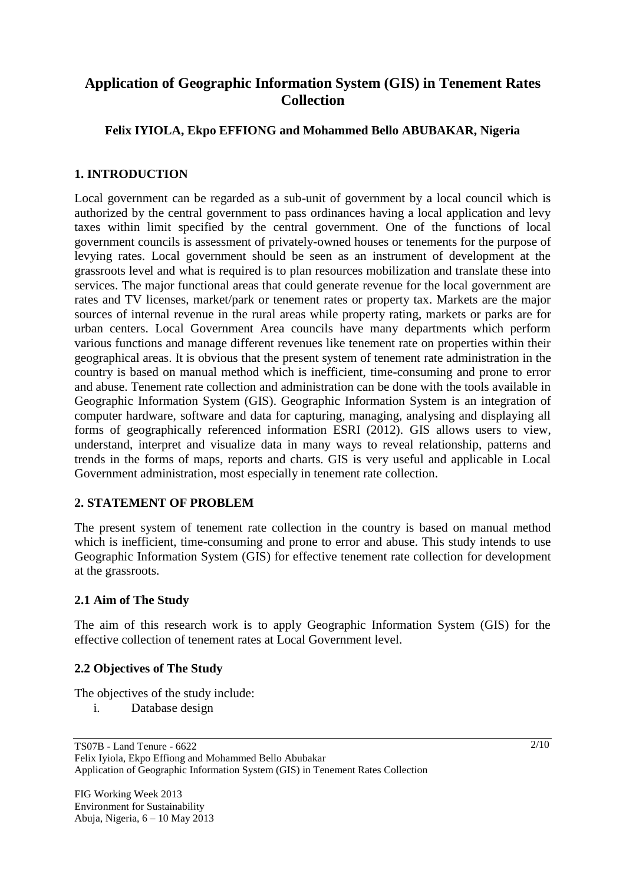# **Application of Geographic Information System (GIS) in Tenement Rates Collection**

# **Felix IYIOLA, Ekpo EFFIONG and Mohammed Bello ABUBAKAR, Nigeria**

# **1. INTRODUCTION**

Local government can be regarded as a sub-unit of government by a local council which is authorized by the central government to pass ordinances having a local application and levy taxes within limit specified by the central government. One of the functions of local government councils is assessment of privately-owned houses or tenements for the purpose of levying rates. Local government should be seen as an instrument of development at the grassroots level and what is required is to plan resources mobilization and translate these into services. The major functional areas that could generate revenue for the local government are rates and TV licenses, market/park or tenement rates or property tax. Markets are the major sources of internal revenue in the rural areas while property rating, markets or parks are for urban centers. Local Government Area councils have many departments which perform various functions and manage different revenues like tenement rate on properties within their geographical areas. It is obvious that the present system of tenement rate administration in the country is based on manual method which is inefficient, time-consuming and prone to error and abuse. Tenement rate collection and administration can be done with the tools available in Geographic Information System (GIS). Geographic Information System is an integration of computer hardware, software and data for capturing, managing, analysing and displaying all forms of geographically referenced information ESRI (2012). GIS allows users to view, understand, interpret and visualize data in many ways to reveal relationship, patterns and trends in the forms of maps, reports and charts. GIS is very useful and applicable in Local Government administration, most especially in tenement rate collection.

#### **2. STATEMENT OF PROBLEM**

The present system of tenement rate collection in the country is based on manual method which is inefficient, time-consuming and prone to error and abuse. This study intends to use Geographic Information System (GIS) for effective tenement rate collection for development at the grassroots.

#### **2.1 Aim of The Study**

The aim of this research work is to apply Geographic Information System (GIS) for the effective collection of tenement rates at Local Government level.

# **2.2 Objectives of The Study**

The objectives of the study include:

i. Database design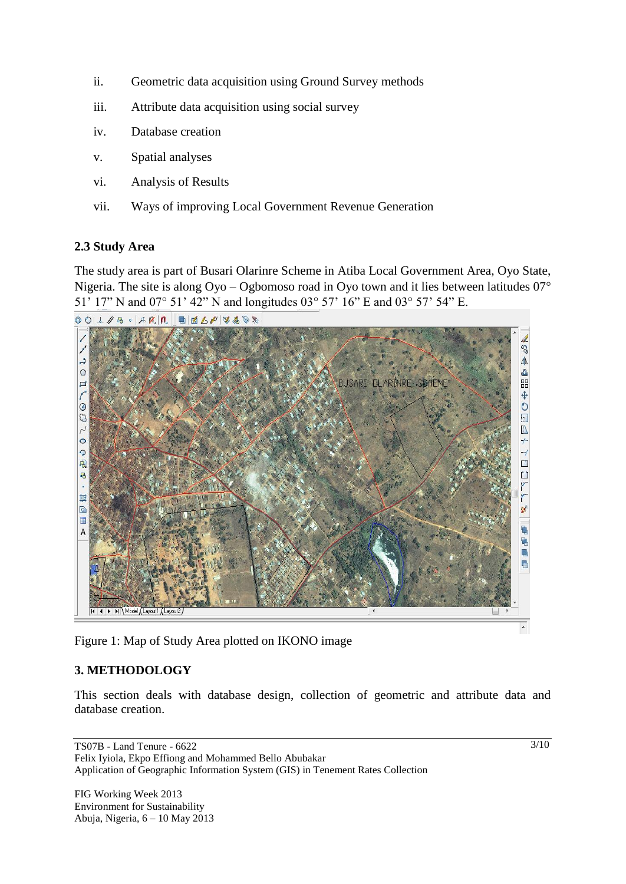- ii. Geometric data acquisition using Ground Survey methods
- iii. Attribute data acquisition using social survey
- iv. Database creation
- v. Spatial analyses
- vi. Analysis of Results
- vii. Ways of improving Local Government Revenue Generation

## **2.3 Study Area**

The study area is part of Busari Olarinre Scheme in Atiba Local Government Area, Oyo State, Nigeria. The site is along  $Oy0 - Og$ bomoso road in  $Oy0$  town and it lies between latitudes  $07^\circ$ 51' 17" N and 07° 51' 42" N and longitudes 03° 57' 16" E and 03° 57' 54" E.



Figure 1: Map of Study Area plotted on IKONO image

# **3. METHODOLOGY**

This section deals with database design, collection of geometric and attribute data and database creation.

TS07B - Land Tenure - 6622 Felix Iyiola, Ekpo Effiong and Mohammed Bello Abubakar Application of Geographic Information System (GIS) in Tenement Rates Collection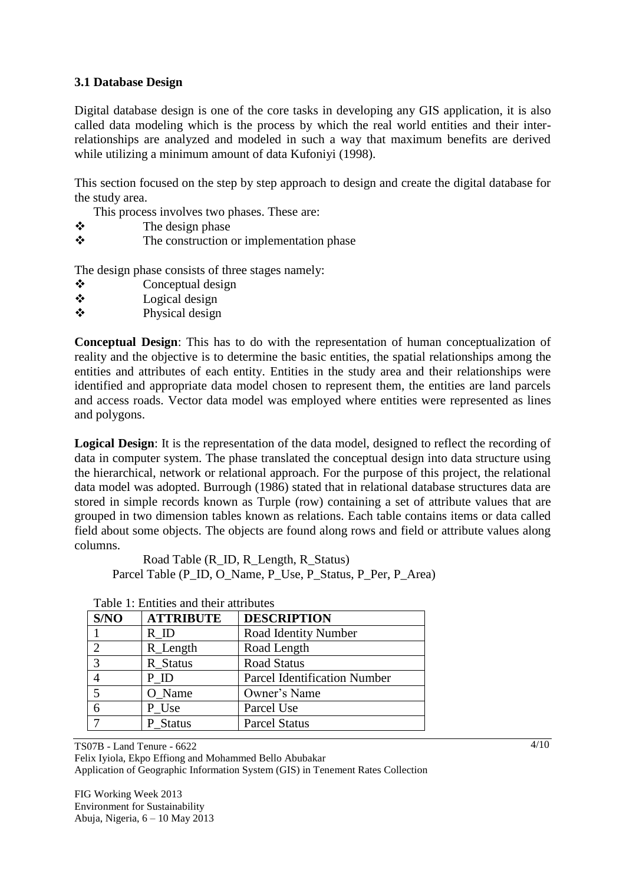# **3.1 Database Design**

Digital database design is one of the core tasks in developing any GIS application, it is also called data modeling which is the process by which the real world entities and their interrelationships are analyzed and modeled in such a way that maximum benefits are derived while utilizing a minimum amount of data Kufoniyi (1998).

This section focused on the step by step approach to design and create the digital database for the study area.

This process involves two phases. These are:

- $\triangle$  The design phase
- $\triangle$  The construction or implementation phase

The design phase consists of three stages namely:

- Conceptual design
- $\triangle$  Logical design
- Physical design

**Conceptual Design**: This has to do with the representation of human conceptualization of reality and the objective is to determine the basic entities, the spatial relationships among the entities and attributes of each entity. Entities in the study area and their relationships were identified and appropriate data model chosen to represent them, the entities are land parcels and access roads. Vector data model was employed where entities were represented as lines and polygons.

**Logical Design**: It is the representation of the data model, designed to reflect the recording of data in computer system. The phase translated the conceptual design into data structure using the hierarchical, network or relational approach. For the purpose of this project, the relational data model was adopted. Burrough (1986) stated that in relational database structures data are stored in simple records known as Turple (row) containing a set of attribute values that are grouped in two dimension tables known as relations. Each table contains items or data called field about some objects. The objects are found along rows and field or attribute values along columns.

Road Table (R\_ID, R\_Length, R\_Status) Parcel Table (P\_ID, O\_Name, P\_Use, P\_Status, P\_Per, P\_Area)

| S/NO                        | <b>ATTRIBUTE</b> | <b>DESCRIPTION</b>                  |  |  |  |
|-----------------------------|------------------|-------------------------------------|--|--|--|
|                             | R ID             | Road Identity Number                |  |  |  |
| $\mathcal{D}_{\mathcal{A}}$ | R_Length         | Road Length                         |  |  |  |
| $\mathcal{R}$               | R_Status         | <b>Road Status</b>                  |  |  |  |
|                             | P ID             | <b>Parcel Identification Number</b> |  |  |  |
|                             | O Name           | Owner's Name                        |  |  |  |
| 6                           | P Use            | Parcel Use                          |  |  |  |
|                             | P_Status         | <b>Parcel Status</b>                |  |  |  |

# Table 1: Entities and their attributes

TS07B - Land Tenure - 6622

Felix Iyiola, Ekpo Effiong and Mohammed Bello Abubakar Application of Geographic Information System (GIS) in Tenement Rates Collection

FIG Working Week 2013 Environment for Sustainability Abuja, Nigeria, 6 – 10 May 2013  $4/10$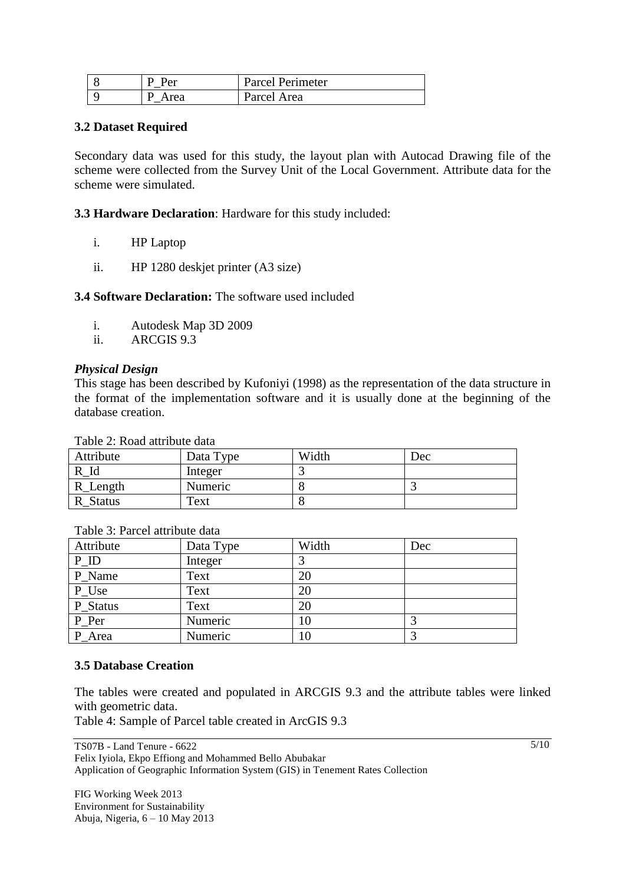| Per  | Parcel Perimeter |
|------|------------------|
| Area | Parcel Area      |

#### **3.2 Dataset Required**

Secondary data was used for this study, the layout plan with Autocad Drawing file of the scheme were collected from the Survey Unit of the Local Government. Attribute data for the scheme were simulated.

**3.3 Hardware Declaration**: Hardware for this study included:

- i. HP Laptop
- ii. HP 1280 deskjet printer (A3 size)

**3.4 Software Declaration:** The software used included

- i. Autodesk Map 3D 2009
- ii. ARCGIS 9.3

#### *Physical Design*

This stage has been described by Kufoniyi (1998) as the representation of the data structure in the format of the implementation software and it is usually done at the beginning of the database creation.

Table 2: Road attribute data

| Attribute          | Data Type | Width | Dec |
|--------------------|-----------|-------|-----|
|                    | Integer   |       |     |
| R_Length           | Numeric   |       |     |
| <b>Status</b><br>R | Text      |       |     |

| Attribute | Data Type | Width | Dec |
|-----------|-----------|-------|-----|
| $P_{ID}$  | Integer   |       |     |
| P Name    | Text      | 20    |     |
| P_Use     | Text      | 20    |     |
| P_Status  | Text      | 20    |     |
| $P_Per$   | Numeric   | 10    |     |
| P Area    | Numeric   | 10    |     |

Table 3: Parcel attribute data

#### **3.5 Database Creation**

The tables were created and populated in ARCGIS 9.3 and the attribute tables were linked with geometric data.

Table 4: Sample of Parcel table created in ArcGIS 9.3

TS07B - Land Tenure - 6622 Felix Iyiola, Ekpo Effiong and Mohammed Bello Abubakar Application of Geographic Information System (GIS) in Tenement Rates Collection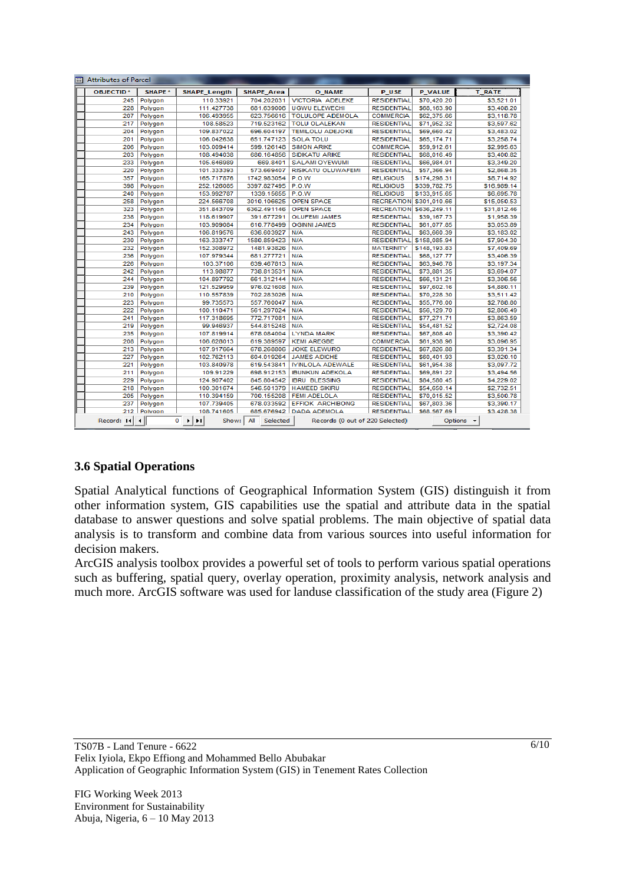| <b>OBJECTID*</b> | SHAPE * | <b>SHAPE Length</b> | <b>SHAPE Area</b> | <b>O_NAME</b>             | P USE                          | <b>P VALUE</b> | <b>T RATE</b> |
|------------------|---------|---------------------|-------------------|---------------------------|--------------------------------|----------------|---------------|
| 245              | Polygon | 110.33921           | 704.202031        | <b>VICTORIA ADELEKE</b>   | <b>RESIDENTIAL</b>             | \$70,420.20    | \$3.521.01    |
| 228              | Polygon | 111.427738          | 681.639006        | <b>UGWU ELEWECHI</b>      | <b>RESIDENTIAL</b>             | \$68,163.90    | \$3,408.20    |
| 207              | Polygon | 106.493955          | 623.756616        | <b>TOLULOPE ADEMOLA</b>   | <b>COMMERCIA</b>               | \$62,375.66    | \$3,118.78    |
| 217              | Polygon | 108.58523           | 719.523162        | <b>TOLU OLALEKAN</b>      | <b>RESIDENTIAL</b>             | \$71,952.32    | \$3,597.62    |
| 204              | Polygon | 109.837022          | 696.604197        | <b>TEMILOLU ADEJOKE</b>   | <b>RESIDENTIAL</b>             | \$69,660.42    | \$3,483.02    |
| 201              | Polygon | 106.042638          | 651.747123        | <b>SOLA TOLU</b>          | <b>RESIDENTIAL</b>             | \$65,174.71    | \$3,258.74    |
| 206              | Polygon | 103.009414          | 599.126148        | <b>SIMON ARIKE</b>        | <b>COMMERCIA</b>               | \$59.912.61    | \$2,995.63    |
| 203              | Polygon | 108.494038          | 680.164856        | <b>SIDIKATU ARIKE</b>     | <b>RESIDENTIAL</b>             | \$68,016.49    | \$3,400.82    |
| 233              | Polygon | 105.646989          | 669.8401          | <b>SALAMI OYEWUMI</b>     | <b>RESIDENTIAL</b>             | \$66,984.01    | \$3,349.20    |
| 220              | Polygon | 101.333393          | 573.669407        | <b>RISIKATU OLUWAFEMI</b> | <b>RESIDENTIAL</b>             | \$57,366.94    | \$2.868.35    |
| 357              | Polygon | 165.717876          | 1742.983054       | P.O.W                     | <b>RELIGIOUS</b>               | \$174,298.31   | \$8,714.92    |
| 398              | Polygon | 252.126085          | 3397.827495       | P.O.W                     | <b>RELIGIOUS</b>               | \$339.782.75   | \$16,989.14   |
| 240              | Polygon | 153.992787          | 1339.15655        | P.O.W                     | <b>RELIGIOUS</b>               | \$133,915.65   | \$6,695.78    |
| 258              | Polygon | 224.566708          | 3010.106625       | <b>OPEN SPACE</b>         | RECREATION \$301,010.66        |                | \$15,050.53   |
| 323              | Polygon | 351.843709          | 6362.491146       | <b>OPEN SPACE</b>         | <b>RECREATION \$636,249.11</b> |                | \$31.812.46   |
| 238              | Polygon | 118.619907          | 391.677291        | <b>OLUFEMI JAMES</b>      | <b>RESIDENTIAL</b>             | \$39,167.73    | \$1,958.39    |
| 234              | Polygon | 103.909084          | 610.778499        | <b>OGINNI JAMES</b>       | <b>RESIDENTIAL</b>             | \$61,077.85    | \$3,053.89    |
| 243              | Polygon | 106.819576          | 636.603927        | <b>N/A</b>                | <b>RESIDENTIAL</b>             | \$63,660.39    | \$3,183.02    |
| 230              | Polygon | 163.333747          | 1580.859423       | N/A                       | <b>RESIDENTIAL</b>             | \$158,085.94   | \$7,904.30    |
| 232              | Polygon | 152.308972          | 1481.93826        | N/A                       | <b>MATERNITY</b>               | \$148,193,83   | \$7,409.69    |
| 236              | Polygon | 107.979344          | 681.277721        | N/A                       | <b>RESIDENTIAL</b>             | \$68,127.77    | \$3,406.39    |
| 226              | Polygon | 103.37106           | 639.467813        | N/A                       | <b>RESIDENTIAL</b>             | \$63,946.78    | \$3,197.34    |
| 242              | Polygon | 113.98877           | 738.813531        | N/A                       | <b>RESIDENTIAL</b>             | \$73.881.35    | \$3,694.07    |
| 244              | Polygon | 104.897792          | 661.312144        | N/A                       | <b>RESIDENTIAL</b>             | \$66,131.21    | \$3,306.56    |
| 239              | Polygon | 121.529959          | 976.021608        | N/A                       | <b>RESIDENTIAL</b>             | \$97,602.16    | \$4,880.11    |
| 210              | Polygon | 110.557839          | 702.283026        | N/A                       | <b>RESIDENTIAL</b>             | \$70,228.30    | \$3,511.42    |
| 223              | Polygon | 99.735573           | 557.760047        | N/A                       | <b>RESIDENTIAL</b>             | \$55,776.00    | \$2,788.80    |
| 222              | Polygon | 100.110471          | 561.297024        | N/A                       | <b>RESIDENTIAL</b>             | \$56,129.70    | \$2,806.49    |
| 241              | Polygon | 117.318695          | 772.717081        | N/A                       | <b>RESIDENTIAL</b>             | \$77.271.71    | \$3,863.59    |
| 219              | Polygon | 99.946937           | 544.815248        | N/A                       | <b>RESIDENTIAL</b>             | \$54,481.52    | \$2,724.08    |
| 235              | Polygon | 107.819914          | 678.084004        | <b>LYNDA MARK</b>         | <b>RESIDENTIAL</b>             | \$67,808.40    | \$3.390.42    |
| 208              | Polygon | 106.628013          | 619.389597        | <b>KEMI AREGBE</b>        | <b>COMMERCIA</b>               | \$61,938.96    | \$3,096.95    |
| 213              | Polygon | 107.917664          | 678.268806        | <b>JOKE ELEWURO</b>       | <b>RESIDENTIAL</b>             | \$67,826,88    | \$3,391.34    |
| 227              | Polygon | 102.762113          | 604.019264        | <b>JAMES ADICHE</b>       | <b>RESIDENTIAL</b>             | \$60,401.93    | \$3,020.10    |
| 221              | Polygon | 103.840978          | 619.543841        | <b>MINLOLA ADEWALE</b>    | <b>RESIDENTIAL</b>             | \$61.954.38    | \$3.097.72    |
| 211              | Polygon | 109.91229           | 698.912153        | <b>IBUNKUN ADEKOLA</b>    | <b>RESIDENTIAL</b>             | \$69,891.22    | \$3,494.56    |
| 229              | Polygon | 124.907402          | 845.804542        | <b>IBRU BLESSING</b>      | <b>RESIDENTIAL</b>             | \$84.580.45    | \$4,229.02    |
| 218              | Polygon | 100.301674          | 546.501379        | <b>HAMEED SIKIRU</b>      | <b>RESIDENTIAL</b>             | \$54,650.14    | \$2,732.51    |
| 205              | Polygon | 110.394159          | 700.155208        | <b>FEMI ADELOLA</b>       | <b>RESIDENTIAL</b>             | \$70,015.52    | \$3,500.78    |
| 237              | Polygon | 107.739405          | 678.033592        | <b>EFFIOK ARCHIBONG</b>   | <b>RESIDENTIAL</b>             | \$67,803.36    | \$3,390.17    |
| 212              | Polygon | 108.741605          | 685.676942        | <b>DADA ADEMOLA</b>       | <b>RESIDENTIAL</b>             | \$68.567.69    | \$3,428.38    |
|                  |         |                     |                   |                           |                                |                |               |

# **3.6 Spatial Operations**

Spatial Analytical functions of Geographical Information System (GIS) distinguish it from other information system, GIS capabilities use the spatial and attribute data in the spatial database to answer questions and solve spatial problems. The main objective of spatial data analysis is to transform and combine data from various sources into useful information for decision makers.

ArcGIS analysis toolbox provides a powerful set of tools to perform various spatial operations such as buffering, spatial query, overlay operation, proximity analysis, network analysis and much more. ArcGIS software was used for landuse classification of the study area (Figure 2)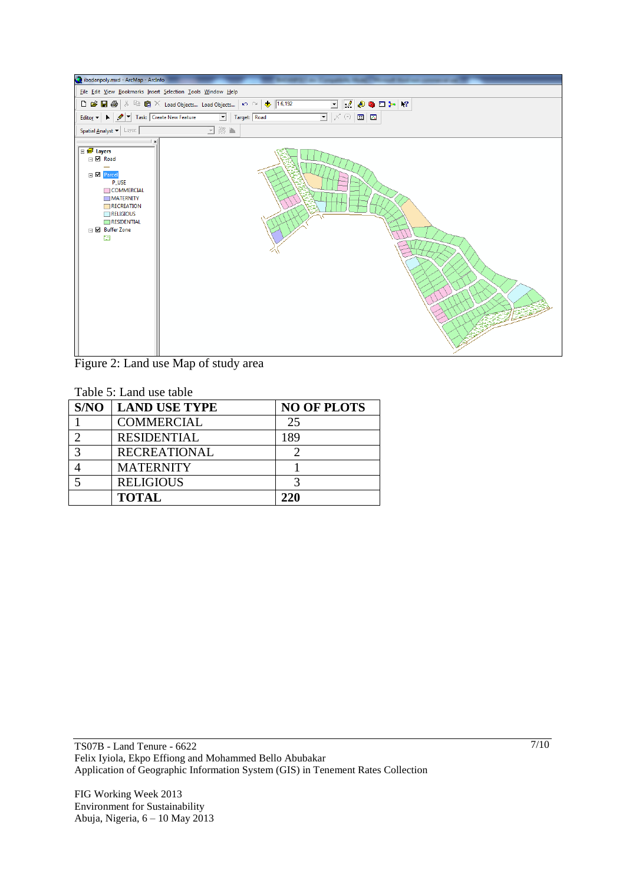

Figure 2: Land use Map of study area

|      | Table 5: Land use table |                    |  |  |
|------|-------------------------|--------------------|--|--|
| S/NO | <b>LAND USE TYPE</b>    | <b>NO OF PLOTS</b> |  |  |
|      | <b>COMMERCIAL</b>       | 25                 |  |  |
|      | <b>RESIDENTIAL</b>      | 189                |  |  |
|      | <b>RECREATIONAL</b>     |                    |  |  |
|      | <b>MATERNITY</b>        |                    |  |  |
|      | <b>RELIGIOUS</b>        |                    |  |  |
|      | <b>TOTAL</b>            | 220                |  |  |

TS07B - Land Tenure - 6622 Felix Iyiola, Ekpo Effiong and Mohammed Bello Abubakar Application of Geographic Information System (GIS) in Tenement Rates Collection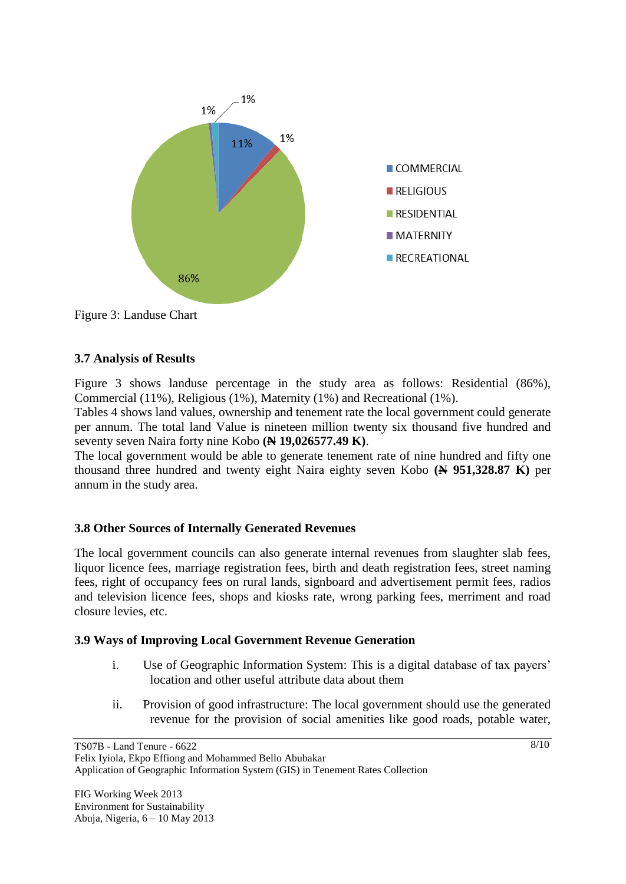

Figure 3: Landuse Chart

## **3.7 Analysis of Results**

Figure 3 shows landuse percentage in the study area as follows: Residential (86%), Commercial (11%), Religious (1%), Maternity (1%) and Recreational (1%).

Tables 4 shows land values, ownership and tenement rate the local government could generate per annum. The total land Value is nineteen million twenty six thousand five hundred and seventy seven Naira forty nine Kobo **(N 19,026577.49 K)**.

The local government would be able to generate tenement rate of nine hundred and fifty one thousand three hundred and twenty eight Naira eighty seven Kobo **(N 951,328.87 K)** per annum in the study area.

# **3.8 Other Sources of Internally Generated Revenues**

The local government councils can also generate internal revenues from slaughter slab fees, liquor licence fees, marriage registration fees, birth and death registration fees, street naming fees, right of occupancy fees on rural lands, signboard and advertisement permit fees, radios and television licence fees, shops and kiosks rate, wrong parking fees, merriment and road closure levies, etc.

#### **3.9 Ways of Improving Local Government Revenue Generation**

- i. Use of Geographic Information System: This is a digital database of tax payers' location and other useful attribute data about them
- ii. Provision of good infrastructure: The local government should use the generated revenue for the provision of social amenities like good roads, potable water,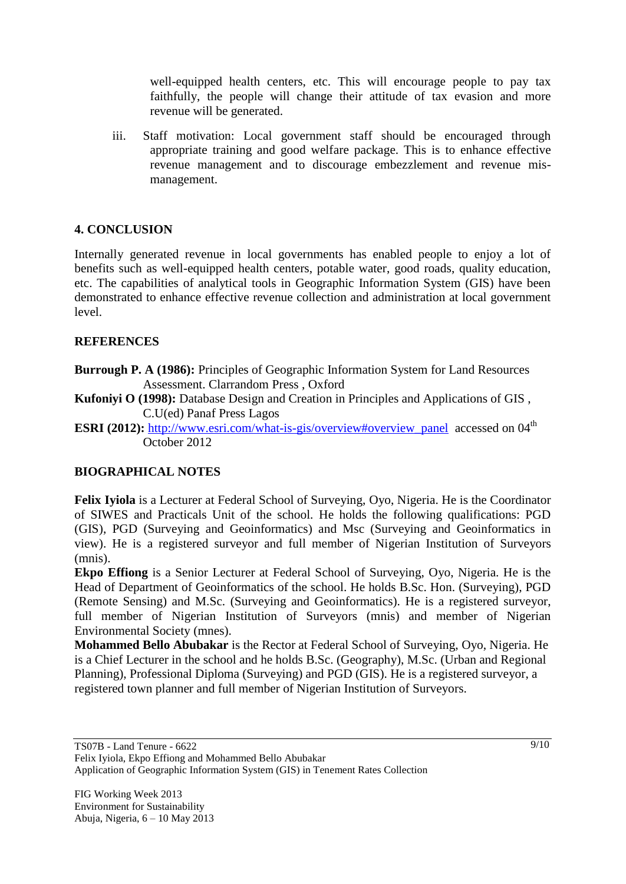well-equipped health centers, etc. This will encourage people to pay tax faithfully, the people will change their attitude of tax evasion and more revenue will be generated.

iii. Staff motivation: Local government staff should be encouraged through appropriate training and good welfare package. This is to enhance effective revenue management and to discourage embezzlement and revenue mismanagement.

# **4. CONCLUSION**

Internally generated revenue in local governments has enabled people to enjoy a lot of benefits such as well-equipped health centers, potable water, good roads, quality education, etc. The capabilities of analytical tools in Geographic Information System (GIS) have been demonstrated to enhance effective revenue collection and administration at local government level.

# **REFERENCES**

**Burrough P. A (1986):** Principles of Geographic Information System for Land Resources Assessment. Clarrandom Press , Oxford

- **Kufoniyi O (1998):** Database Design and Creation in Principles and Applications of GIS , C.U(ed) Panaf Press Lagos
- **ESRI (2012):** [http://www.esri.com/what-is-gis/overview#overview\\_panel](http://www.esri.com/what-is-gis/overview#overview_panel) accessed on 04<sup>th</sup> October 2012

# **BIOGRAPHICAL NOTES**

**Felix Iyiola** is a Lecturer at Federal School of Surveying, Oyo, Nigeria. He is the Coordinator of SIWES and Practicals Unit of the school. He holds the following qualifications: PGD (GIS), PGD (Surveying and Geoinformatics) and Msc (Surveying and Geoinformatics in view). He is a registered surveyor and full member of Nigerian Institution of Surveyors (mnis).

**Ekpo Effiong** is a Senior Lecturer at Federal School of Surveying, Oyo, Nigeria. He is the Head of Department of Geoinformatics of the school. He holds B.Sc. Hon. (Surveying), PGD (Remote Sensing) and M.Sc. (Surveying and Geoinformatics). He is a registered surveyor, full member of Nigerian Institution of Surveyors (mnis) and member of Nigerian Environmental Society (mnes).

**Mohammed Bello Abubakar** is the Rector at Federal School of Surveying, Oyo, Nigeria. He is a Chief Lecturer in the school and he holds B.Sc. (Geography), M.Sc. (Urban and Regional Planning), Professional Diploma (Surveying) and PGD (GIS). He is a registered surveyor, a registered town planner and full member of Nigerian Institution of Surveyors.